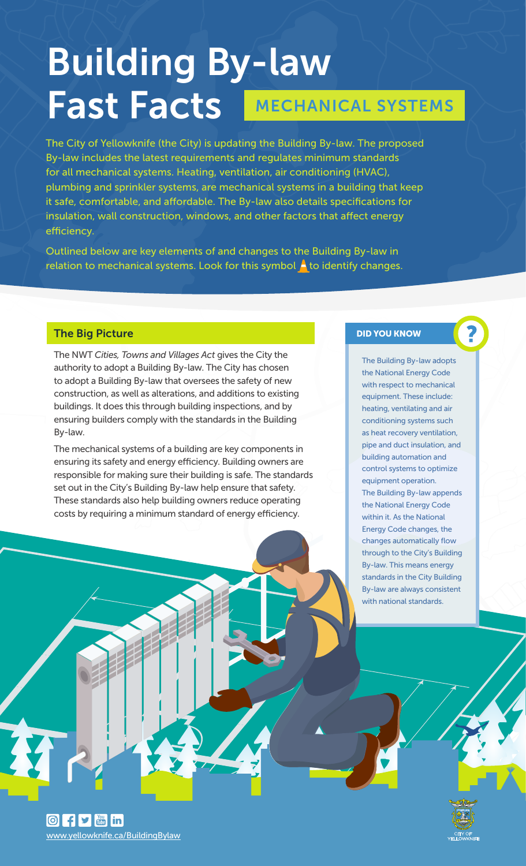# Building By-law Fast Facts MECHANICAL SYSTEMS

The City of Yellowknife (the City) is updating the Building By-law. The proposed By-law includes the latest requirements and regulates minimum standards for all mechanical systems. Heating, ventilation, air conditioning (HVAC), plumbing and sprinkler systems, are mechanical systems in a building that keep it safe, comfortable, and affordable. The By-law also details specifications for insulation, wall construction, windows, and other factors that affect energy efficiency.

Outlined below are key elements of and changes to the Building By-law in relation to mechanical systems. Look for this symbol  $\blacktriangle$  to identify changes.

### The Big Picture

The NWT *Cities, Towns and Villages Act* gives the City the authority to adopt a Building By-law. The City has chosen to adopt a Building By-law that oversees the safety of new construction, as well as alterations, and additions to existing buildings. It does this through building inspections, and by ensuring builders comply with the standards in the Building By-law.

The mechanical systems of a building are key components in ensuring its safety and energy efficiency. Building owners are responsible for making sure their building is safe. The standards set out in the City's Building By-law help ensure that safety. These standards also help building owners reduce operating costs by requiring a minimum standard of energy efficiency.

#### DID YOU KNOW

The Building By-law adopts the National Energy Code with respect to mechanical equipment. These include: heating, ventilating and air conditioning systems such as heat recovery ventilation, pipe and duct insulation, and building automation and control systems to optimize equipment operation. The Building By-law appends the National Energy Code within it. As the National Energy Code changes, the changes automatically flow through to the City's Building By-law. This means energy standards in the City Building By-law are always consistent with national standards.

 $\boxed{0}$  f  $\boxed{\cdot}$   $\boxed{\cdot}$  in www.yellowknife.ca/BuildingBylaw